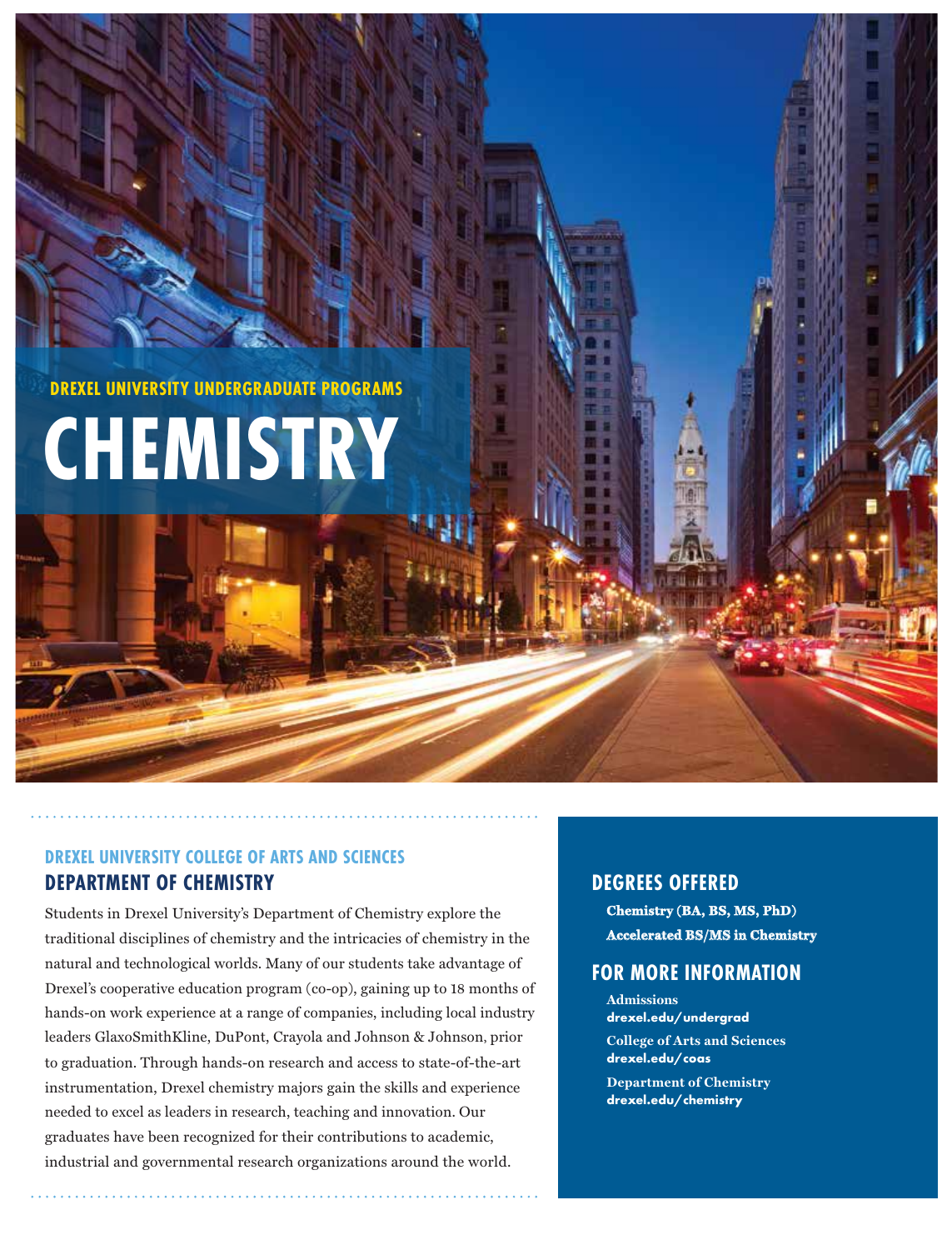**DREXEL UNIVERSITY UNDERGRADUATE PROGRAMS**

# **CHEMISTRY**

## **DREXEL UNIVERSITY COLLEGE OF ARTS AND SCIENCES DEPARTMENT OF CHEMISTRY**

Students in Drexel University's Department of Chemistry explore the traditional disciplines of chemistry and the intricacies of chemistry in the natural and technological worlds. Many of our students take advantage of Drexel's cooperative education program (co-op), gaining up to 18 months of hands-on work experience at a range of companies, including local industry leaders GlaxoSmithKline, DuPont, Crayola and Johnson & Johnson, prior to graduation. Through hands-on research and access to state-of-the-art instrumentation, Drexel chemistry majors gain the skills and experience needed to excel as leaders in research, teaching and innovation. Our graduates have been recognized for their contributions to academic, industrial and governmental research organizations around the world.

## **DEGREES OFFERED**

**Chemistry (BA, BS, MS, PhD) Accelerated BS/MS in Chemistry**

## **FOR MORE INFORMATION**

**Admissions drexel.edu/undergrad College of Arts and Sciences drexel.edu/coas**

**Department of Chemistry drexel.edu/chemistry**